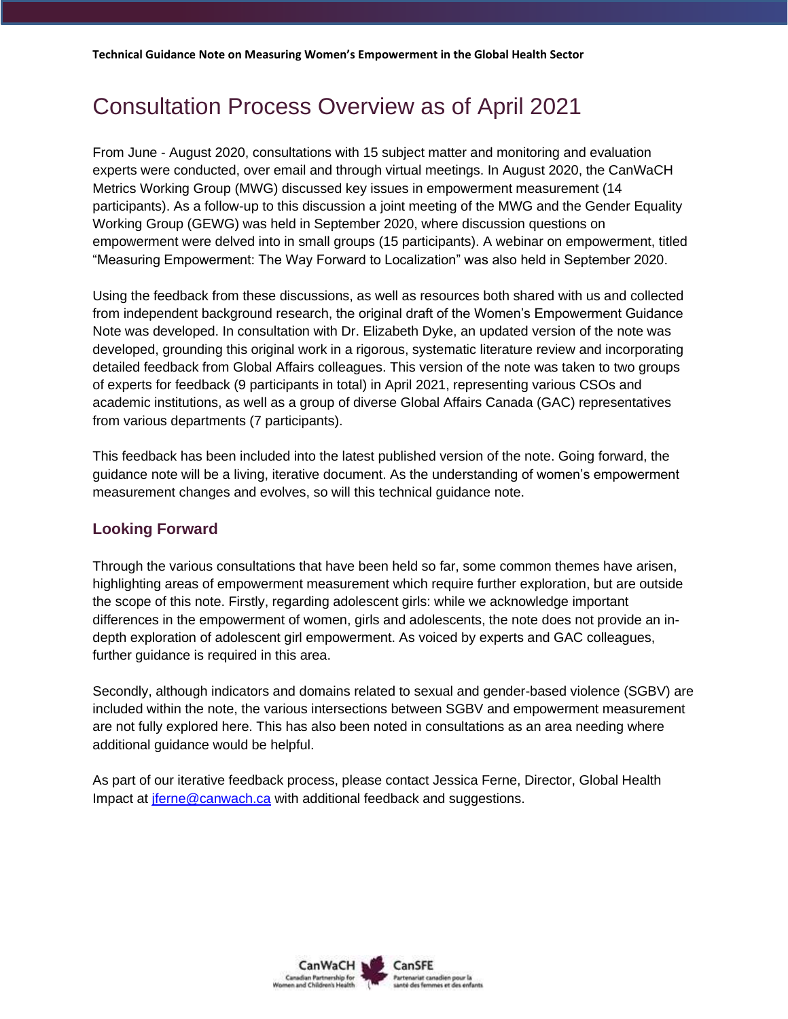## Consultation Process Overview as of April 2021

From June - August 2020, consultations with 15 subject matter and monitoring and evaluation experts were conducted, over email and through virtual meetings. In August 2020, the CanWaCH Metrics Working Group (MWG) discussed key issues in empowerment measurement (14 participants). As a follow-up to this discussion a joint meeting of the MWG and the Gender Equality Working Group (GEWG) was held in September 2020, where discussion questions on empowerment were delved into in small groups (15 participants). A webinar on empowerment, titled "Measuring Empowerment: The Way Forward to Localization" was also held in September 2020.

Using the feedback from these discussions, as well as resources both shared with us and collected from independent background research, the original draft of the Women's Empowerment Guidance Note was developed. In consultation with Dr. Elizabeth Dyke, an updated version of the note was developed, grounding this original work in a rigorous, systematic literature review and incorporating detailed feedback from Global Affairs colleagues. This version of the note was taken to two groups of experts for feedback (9 participants in total) in April 2021, representing various CSOs and academic institutions, as well as a group of diverse Global Affairs Canada (GAC) representatives from various departments (7 participants).

This feedback has been included into the latest published version of the note. Going forward, the guidance note will be a living, iterative document. As the understanding of women's empowerment measurement changes and evolves, so will this technical guidance note.

## **Looking Forward**

Through the various consultations that have been held so far, some common themes have arisen, highlighting areas of empowerment measurement which require further exploration, but are outside the scope of this note. Firstly, regarding adolescent girls: while we acknowledge important differences in the empowerment of women, girls and adolescents, the note does not provide an indepth exploration of adolescent girl empowerment. As voiced by experts and GAC colleagues, further guidance is required in this area.

Secondly, although indicators and domains related to sexual and gender-based violence (SGBV) are included within the note, the various intersections between SGBV and empowerment measurement are not fully explored here. This has also been noted in consultations as an area needing where additional guidance would be helpful.

As part of our iterative feedback process, please contact Jessica Ferne, Director, Global Health Impact at [jferne@canwach.ca](mailto:jferne@canwach.ca) with additional feedback and suggestions.